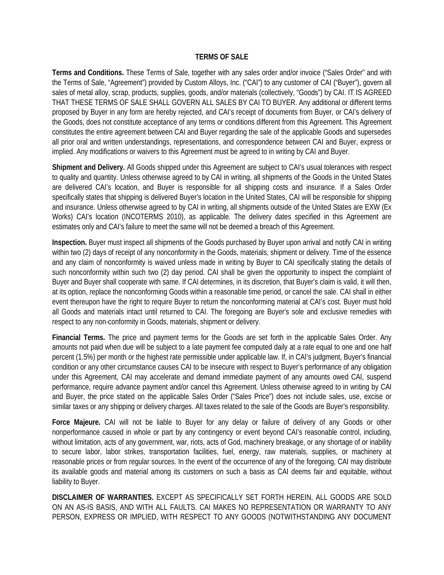## **TERMS OF SALE**

**Terms and Conditions.** These Terms of Sale, together with any sales order and/or invoice ("Sales Order" and with the Terms of Sale, "Agreement") provided by Custom Alloys, Inc. ("CAI") to any customer of CAI ("Buyer"), govern all sales of metal alloy, scrap, products, supplies, goods, and/or materials (collectively, "Goods") by CAI. IT IS AGREED THAT THESE TERMS OF SALE SHALL GOVERN ALL SALES BY CAI TO BUYER. Any additional or different terms proposed by Buyer in any form are hereby rejected, and CAI's receipt of documents from Buyer, or CAI's delivery of the Goods, does not constitute acceptance of any terms or conditions different from this Agreement. This Agreement constitutes the entire agreement between CAI and Buyer regarding the sale of the applicable Goods and supersedes all prior oral and written understandings, representations, and correspondence between CAI and Buyer, express or implied. Any modifications or waivers to this Agreement must be agreed to in writing by CAI and Buyer.

**Shipment and Delivery.** All Goods shipped under this Agreement are subject to CAI's usual tolerances with respect to quality and quantity. Unless otherwise agreed to by CAI in writing, all shipments of the Goods in the United States are delivered CAI's location, and Buyer is responsible for all shipping costs and insurance. If a Sales Order specifically states that shipping is delivered Buyer's location in the United States, CAI will be responsible for shipping and insurance. Unless otherwise agreed to by CAI in writing, all shipments outside of the United States are EXW (Ex Works) CAI's location (INCOTERMS 2010), as applicable. The delivery dates specified in this Agreement are estimates only and CAI's failure to meet the same will not be deemed a breach of this Agreement.

**Inspection.** Buyer must inspect all shipments of the Goods purchased by Buyer upon arrival and notify CAI in writing within two (2) days of receipt of any nonconformity in the Goods, materials, shipment or delivery. Time of the essence and any claim of nonconformity is waived unless made in writing by Buyer to CAI specifically stating the details of such nonconformity within such two (2) day period. CAI shall be given the opportunity to inspect the complaint of Buyer and Buyer shall cooperate with same. If CAI determines, in its discretion, that Buyer's claim is valid, it will then, at its option, replace the nonconforming Goods within a reasonable time period, or cancel the sale. CAI shall in either event thereupon have the right to require Buyer to return the nonconforming material at CAI's cost. Buyer must hold all Goods and materials intact until returned to CAI. The foregoing are Buyer's sole and exclusive remedies with respect to any non-conformity in Goods, materials, shipment or delivery.

**Financial Terms.** The price and payment terms for the Goods are set forth in the applicable Sales Order. Any amounts not paid when due will be subject to a late payment fee computed daily at a rate equal to one and one half percent (1.5%) per month or the highest rate permissible under applicable law. If, in CAI's judgment, Buyer's financial condition or any other circumstance causes CAI to be insecure with respect to Buyer's performance of any obligation under this Agreement, CAI may accelerate and demand immediate payment of any amounts owed CAI, suspend performance, require advance payment and/or cancel this Agreement. Unless otherwise agreed to in writing by CAI and Buyer, the price stated on the applicable Sales Order ("Sales Price") does not include sales, use, excise or similar taxes or any shipping or delivery charges. All taxes related to the sale of the Goods are Buyer's responsibility.

**Force Majeure.** CAI will not be liable to Buyer for any delay or failure of delivery of any Goods or other nonperformance caused in whole or part by any contingency or event beyond CAI's reasonable control, including, without limitation, acts of any government, war, riots, acts of God, machinery breakage, or any shortage of or inability to secure labor, labor strikes, transportation facilities, fuel, energy, raw materials, supplies, or machinery at reasonable prices or from regular sources. In the event of the occurrence of any of the foregoing, CAI may distribute its available goods and material among its customers on such a basis as CAI deems fair and equitable, without liability to Buyer.

**DISCLAIMER OF WARRANTIES.** EXCEPT AS SPECIFICALLY SET FORTH HEREIN, ALL GOODS ARE SOLD ON AN AS-IS BASIS, AND WITH ALL FAULTS. CAI MAKES NO REPRESENTATION OR WARRANTY TO ANY PERSON, EXPRESS OR IMPLIED, WITH RESPECT TO ANY GOODS (NOTWITHSTANDING ANY DOCUMENT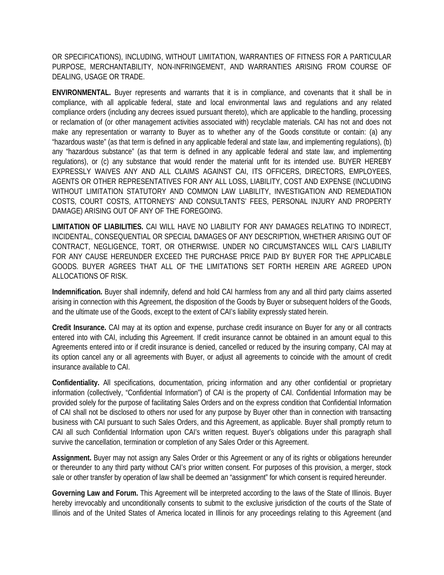OR SPECIFICATIONS), INCLUDING, WITHOUT LIMITATION, WARRANTIES OF FITNESS FOR A PARTICULAR PURPOSE, MERCHANTABILITY, NON-INFRINGEMENT, AND WARRANTIES ARISING FROM COURSE OF DEALING, USAGE OR TRADE.

**ENVIRONMENTAL.** Buyer represents and warrants that it is in compliance, and covenants that it shall be in compliance, with all applicable federal, state and local environmental laws and regulations and any related compliance orders (including any decrees issued pursuant thereto), which are applicable to the handling, processing or reclamation of (or other management activities associated with) recyclable materials. CAI has not and does not make any representation or warranty to Buyer as to whether any of the Goods constitute or contain: (a) any "hazardous waste" (as that term is defined in any applicable federal and state law, and implementing regulations), (b) any "hazardous substance" (as that term is defined in any applicable federal and state law, and implementing regulations), or (c) any substance that would render the material unfit for its intended use. BUYER HEREBY EXPRESSLY WAIVES ANY AND ALL CLAIMS AGAINST CAI, ITS OFFICERS, DIRECTORS, EMPLOYEES, AGENTS OR OTHER REPRESENTATIVES FOR ANY ALL LOSS, LIABILITY, COST AND EXPENSE (INCLUDING WITHOUT LIMITATION STATUTORY AND COMMON LAW LIABILITY, INVESTIGATION AND REMEDIATION COSTS, COURT COSTS, ATTORNEYS' AND CONSULTANTS' FEES, PERSONAL INJURY AND PROPERTY DAMAGE) ARISING OUT OF ANY OF THE FOREGOING.

**LIMITATION OF LIABILITIES.** CAI WILL HAVE NO LIABILITY FOR ANY DAMAGES RELATING TO INDIRECT, INCIDENTAL, CONSEQUENTIAL OR SPECIAL DAMAGES OF ANY DESCRIPTION, WHETHER ARISING OUT OF CONTRACT, NEGLIGENCE, TORT, OR OTHERWISE. UNDER NO CIRCUMSTANCES WILL CAI'S LIABILITY FOR ANY CAUSE HEREUNDER EXCEED THE PURCHASE PRICE PAID BY BUYER FOR THE APPLICABLE GOODS. BUYER AGREES THAT ALL OF THE LIMITATIONS SET FORTH HEREIN ARE AGREED UPON ALLOCATIONS OF RISK.

**Indemnification.** Buyer shall indemnify, defend and hold CAI harmless from any and all third party claims asserted arising in connection with this Agreement, the disposition of the Goods by Buyer or subsequent holders of the Goods, and the ultimate use of the Goods, except to the extent of CAI's liability expressly stated herein.

**Credit Insurance.** CAI may at its option and expense, purchase credit insurance on Buyer for any or all contracts entered into with CAI, including this Agreement. If credit insurance cannot be obtained in an amount equal to this Agreements entered into or if credit insurance is denied, cancelled or reduced by the insuring company, CAI may at its option cancel any or all agreements with Buyer, or adjust all agreements to coincide with the amount of credit insurance available to CAI.

**Confidentiality.** All specifications, documentation, pricing information and any other confidential or proprietary information (collectively, "Confidential Information") of CAI is the property of CAI. Confidential Information may be provided solely for the purpose of facilitating Sales Orders and on the express condition that Confidential Information of CAI shall not be disclosed to others nor used for any purpose by Buyer other than in connection with transacting business with CAI pursuant to such Sales Orders, and this Agreement, as applicable. Buyer shall promptly return to CAI all such Confidential Information upon CAI's written request. Buyer's obligations under this paragraph shall survive the cancellation, termination or completion of any Sales Order or this Agreement.

**Assignment.** Buyer may not assign any Sales Order or this Agreement or any of its rights or obligations hereunder or thereunder to any third party without CAI's prior written consent. For purposes of this provision, a merger, stock sale or other transfer by operation of law shall be deemed an "assignment" for which consent is required hereunder.

**Governing Law and Forum.** This Agreement will be interpreted according to the laws of the State of Illinois. Buyer hereby irrevocably and unconditionally consents to submit to the exclusive jurisdiction of the courts of the State of Illinois and of the United States of America located in Illinois for any proceedings relating to this Agreement (and